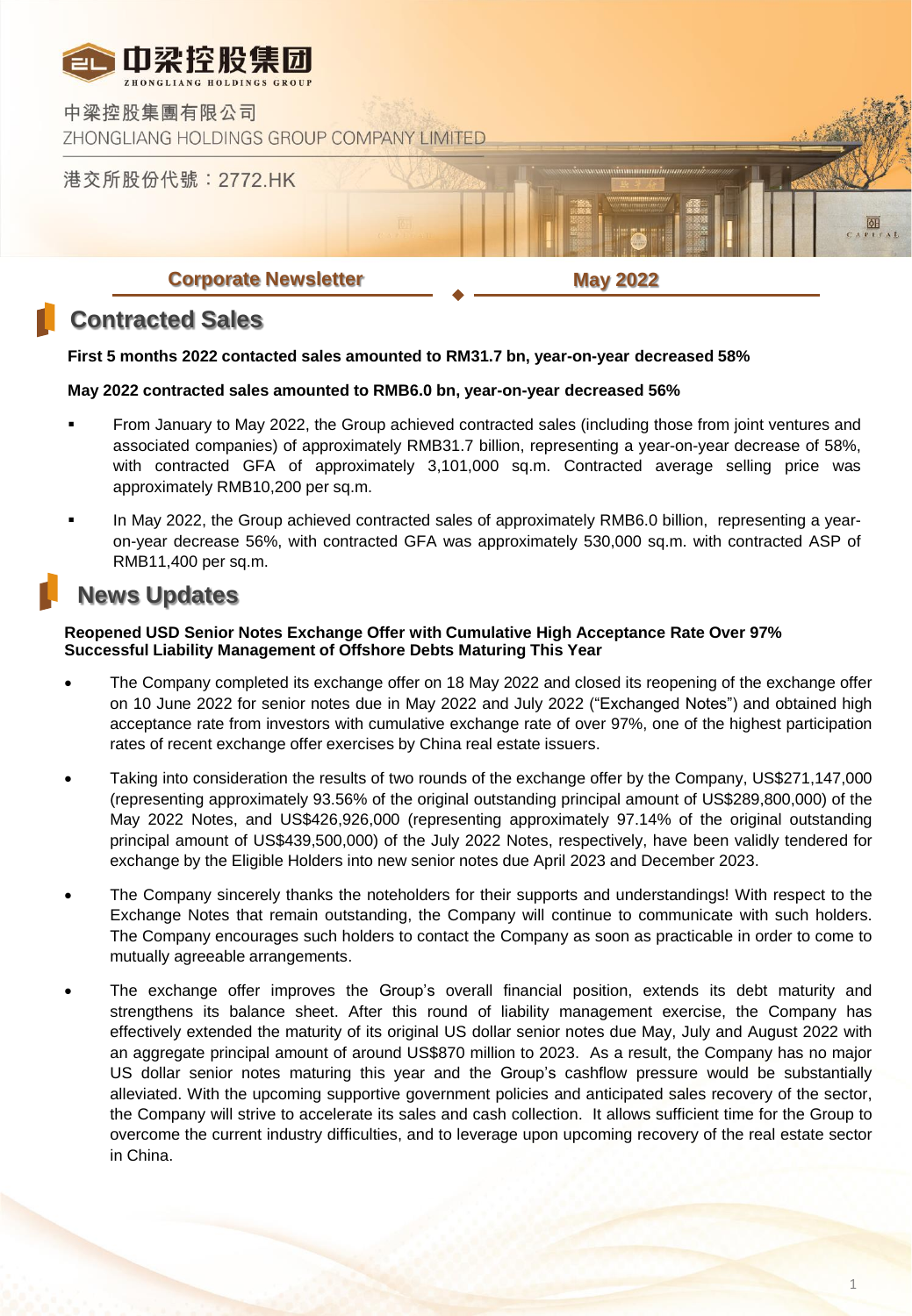

## **Contracted Sales**

#### **First 5 months 2022 contacted sales amounted to RM31.7 bn, year-on-year decreased 58%**

#### **May 2022 contracted sales amounted to RMB6.0 bn, year-on-year decreased 56%**

- From January to May 2022, the Group achieved contracted sales (including those from joint ventures and associated companies) of approximately RMB31.7 billion, representing a year-on-year decrease of 58%, with contracted GFA of approximately 3,101,000 sq.m. Contracted average selling price was approximately RMB10,200 per sq.m.
- In May 2022, the Group achieved contracted sales of approximately RMB6.0 billion, representing a yearon-year decrease 56%, with contracted GFA was approximately 530,000 sq.m. with contracted ASP of RMB11,400 per sq.m.

## **News Updates**

#### **Reopened USD Senior Notes Exchange Offer with Cumulative High Acceptance Rate Over 97% Successful Liability Management of Offshore Debts Maturing This Year**

- The Company completed its exchange offer on 18 May 2022 and closed its reopening of the exchange offer on 10 June 2022 for senior notes due in May 2022 and July 2022 ("Exchanged Notes") and obtained high acceptance rate from investors with cumulative exchange rate of over 97%, one of the highest participation rates of recent exchange offer exercises by China real estate issuers.
- Taking into consideration the results of two rounds of the exchange offer by the Company, US\$271,147,000 (representing approximately 93.56% of the original outstanding principal amount of US\$289,800,000) of the May 2022 Notes, and US\$426,926,000 (representing approximately 97.14% of the original outstanding principal amount of US\$439,500,000) of the July 2022 Notes, respectively, have been validly tendered for exchange by the Eligible Holders into new senior notes due April 2023 and December 2023.
- The Company sincerely thanks the noteholders for their supports and understandings! With respect to the Exchange Notes that remain outstanding, the Company will continue to communicate with such holders. The Company encourages such holders to contact the Company as soon as practicable in order to come to mutually agreeable arrangements.
- The exchange offer improves the Group's overall financial position, extends its debt maturity and strengthens its balance sheet. After this round of liability management exercise, the Company has effectively extended the maturity of its original US dollar senior notes due May, July and August 2022 with an aggregate principal amount of around US\$870 million to 2023. As a result, the Company has no major US dollar senior notes maturing this year and the Group's cashflow pressure would be substantially alleviated. With the upcoming supportive government policies and anticipated sales recovery of the sector, the Company will strive to accelerate its sales and cash collection. It allows sufficient time for the Group to overcome the current industry difficulties, and to leverage upon upcoming recovery of the real estate sector in China.